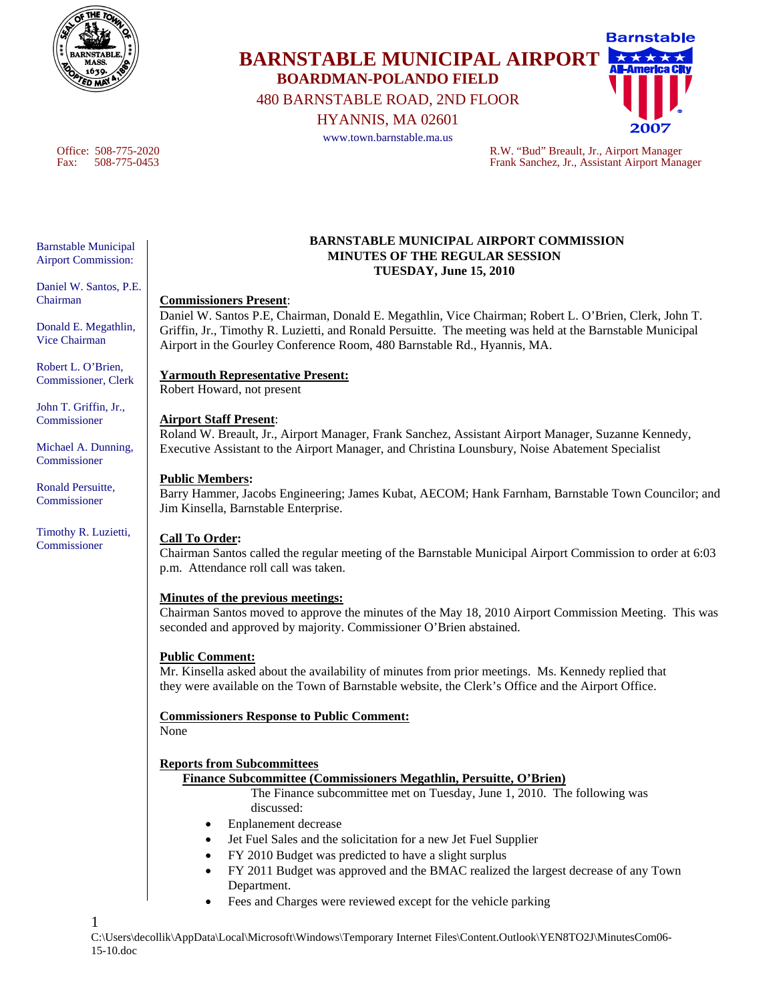

# **Barnstable BARNSTABLE MUNICIPAL AIRPORT BOARDMAN-POLANDO FIELD**  480 BARNSTABLE ROAD, 2ND FLOOR

HYANNIS, MA 02601



Office: 508-775-2020 R.W. "Bud" Breault, Jr., Airport Manager Fax: 508-775-0453 Frank Sanchez, Jr., Assistant Airport Manager

#### Barnstable Municipal Airport Commission:

Daniel W. Santos, P.E. Chairman

Donald E. Megathlin, Vice Chairman

Robert L. O'Brien, Commissioner, Clerk

John T. Griffin, Jr., **Commissioner** 

Michael A. Dunning, Commissioner

Ronald Persuitte, Commissioner

Timothy R. Luzietti, Commissioner

#### **BARNSTABLE MUNICIPAL AIRPORT COMMISSION MINUTES OF THE REGULAR SESSION TUESDAY, June 15, 2010**

### **Commissioners Present**:

Daniel W. Santos P.E, Chairman, Donald E. Megathlin, Vice Chairman; Robert L. O'Brien, Clerk, John T. Griffin, Jr., Timothy R. Luzietti, and Ronald Persuitte. The meeting was held at the Barnstable Municipal Airport in the Gourley Conference Room, 480 Barnstable Rd., Hyannis, MA.

# **Yarmouth Representative Present:**

Robert Howard, not present

# **Airport Staff Present**:

Roland W. Breault, Jr., Airport Manager, Frank Sanchez, Assistant Airport Manager, Suzanne Kennedy, Executive Assistant to the Airport Manager, and Christina Lounsbury, Noise Abatement Specialist

### **Public Members:**

Barry Hammer, Jacobs Engineering; James Kubat, AECOM; Hank Farnham, Barnstable Town Councilor; and Jim Kinsella, Barnstable Enterprise.

# **Call To Order:**

Chairman Santos called the regular meeting of the Barnstable Municipal Airport Commission to order at 6:03 p.m. Attendance roll call was taken.

# **Minutes of the previous meetings:**

Chairman Santos moved to approve the minutes of the May 18, 2010 Airport Commission Meeting. This was seconded and approved by majority. Commissioner O'Brien abstained.

# **Public Comment:**

Mr. Kinsella asked about the availability of minutes from prior meetings. Ms. Kennedy replied that they were available on the Town of Barnstable website, the Clerk's Office and the Airport Office.

**Commissioners Response to Public Comment:** None

#### **Reports from Subcommittees**

#### **Finance Subcommittee (Commissioners Megathlin, Persuitte, O'Brien)**

The Finance subcommittee met on Tuesday, June 1, 2010. The following was discussed:

- Enplanement decrease
- Jet Fuel Sales and the solicitation for a new Jet Fuel Supplier
- FY 2010 Budget was predicted to have a slight surplus
- FY 2011 Budget was approved and the BMAC realized the largest decrease of any Town Department.
- Fees and Charges were reviewed except for the vehicle parking

1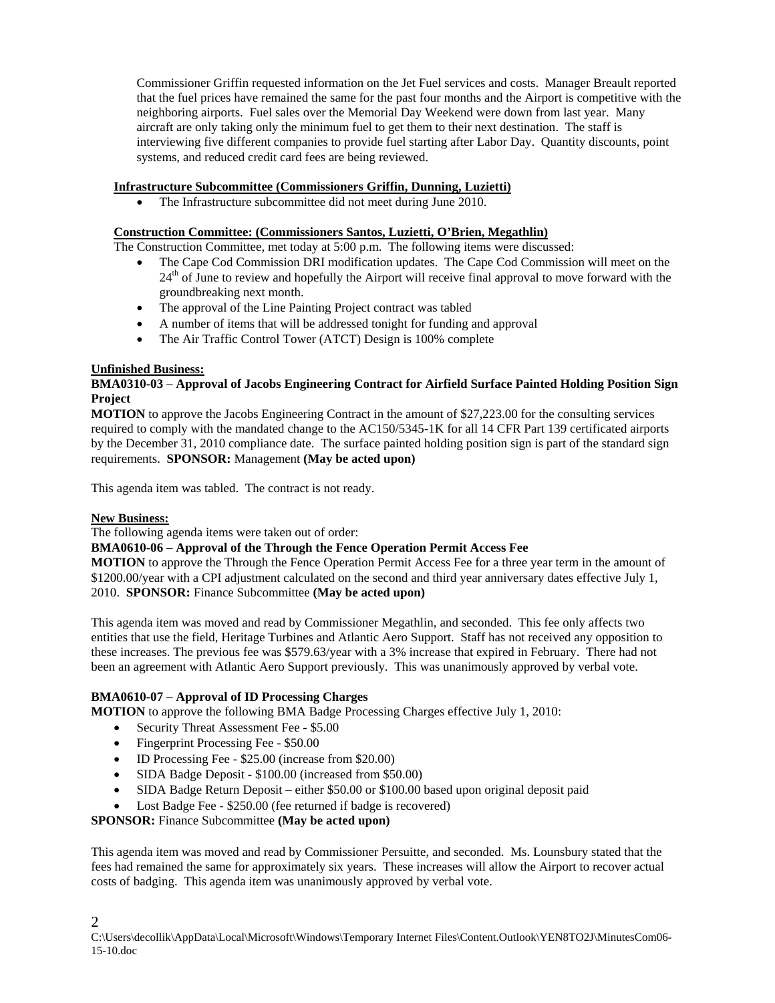Commissioner Griffin requested information on the Jet Fuel services and costs. Manager Breault reported that the fuel prices have remained the same for the past four months and the Airport is competitive with the neighboring airports. Fuel sales over the Memorial Day Weekend were down from last year. Many aircraft are only taking only the minimum fuel to get them to their next destination. The staff is interviewing five different companies to provide fuel starting after Labor Day. Quantity discounts, point systems, and reduced credit card fees are being reviewed.

### **Infrastructure Subcommittee (Commissioners Griffin, Dunning, Luzietti)**

• The Infrastructure subcommittee did not meet during June 2010.

# **Construction Committee: (Commissioners Santos, Luzietti, O'Brien, Megathlin)**

The Construction Committee, met today at 5:00 p.m. The following items were discussed:

- The Cape Cod Commission DRI modification updates. The Cape Cod Commission will meet on the  $24<sup>th</sup>$  of June to review and hopefully the Airport will receive final approval to move forward with the groundbreaking next month.
- The approval of the Line Painting Project contract was tabled
- A number of items that will be addressed tonight for funding and approval
- The Air Traffic Control Tower (ATCT) Design is 100% complete

### **Unfinished Business:**

### **BMA0310-03** – **Approval of Jacobs Engineering Contract for Airfield Surface Painted Holding Position Sign Project**

**MOTION** to approve the Jacobs Engineering Contract in the amount of \$27,223.00 for the consulting services required to comply with the mandated change to the AC150/5345-1K for all 14 CFR Part 139 certificated airports by the December 31, 2010 compliance date. The surface painted holding position sign is part of the standard sign requirements. **SPONSOR:** Management **(May be acted upon)** 

This agenda item was tabled. The contract is not ready.

#### **New Business:**

2

The following agenda items were taken out of order:

#### **BMA0610-06** – **Approval of the Through the Fence Operation Permit Access Fee**

**MOTION** to approve the Through the Fence Operation Permit Access Fee for a three year term in the amount of \$1200.00/year with a CPI adjustment calculated on the second and third year anniversary dates effective July 1, 2010. **SPONSOR:** Finance Subcommittee **(May be acted upon)** 

This agenda item was moved and read by Commissioner Megathlin, and seconded. This fee only affects two entities that use the field, Heritage Turbines and Atlantic Aero Support. Staff has not received any opposition to these increases. The previous fee was \$579.63/year with a 3% increase that expired in February. There had not been an agreement with Atlantic Aero Support previously. This was unanimously approved by verbal vote.

#### **BMA0610-07** – **Approval of ID Processing Charges**

**MOTION** to approve the following BMA Badge Processing Charges effective July 1, 2010:

- Security Threat Assessment Fee \$5.00
- Fingerprint Processing Fee \$50.00
- ID Processing Fee \$25.00 (increase from \$20.00)
- SIDA Badge Deposit \$100.00 (increased from \$50.00)
- SIDA Badge Return Deposit either \$50.00 or \$100.00 based upon original deposit paid
- Lost Badge Fee \$250.00 (fee returned if badge is recovered)

#### **SPONSOR:** Finance Subcommittee **(May be acted upon)**

This agenda item was moved and read by Commissioner Persuitte, and seconded. Ms. Lounsbury stated that the fees had remained the same for approximately six years. These increases will allow the Airport to recover actual costs of badging. This agenda item was unanimously approved by verbal vote.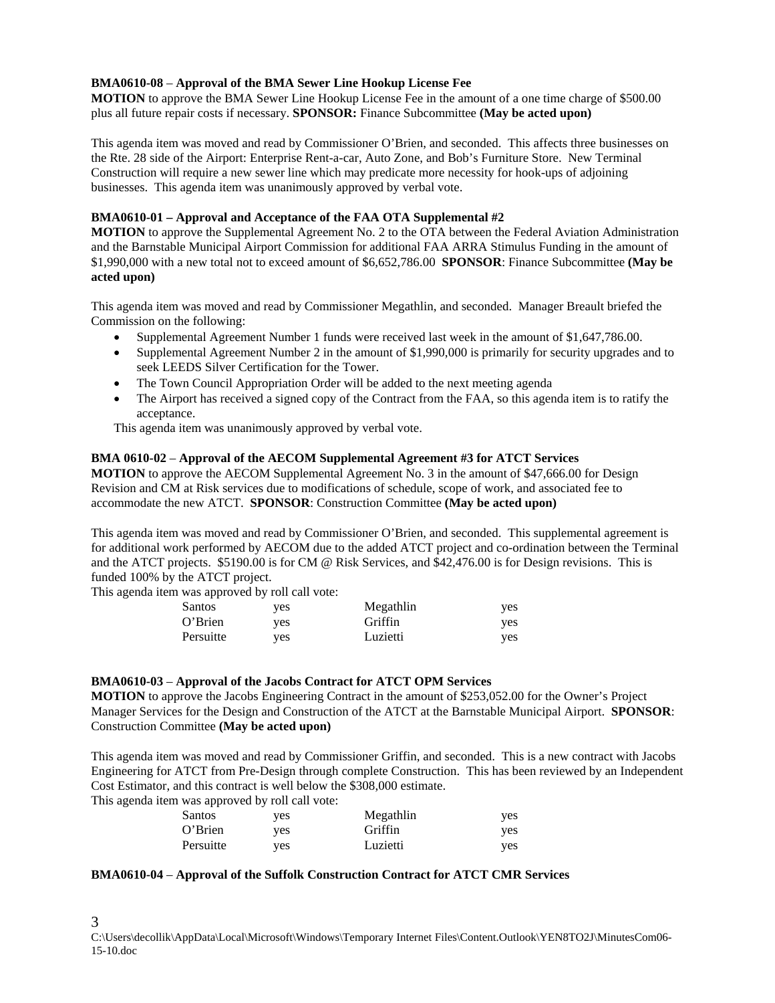#### **BMA0610-08** – **Approval of the BMA Sewer Line Hookup License Fee**

**MOTION** to approve the BMA Sewer Line Hookup License Fee in the amount of a one time charge of \$500.00 plus all future repair costs if necessary. **SPONSOR:** Finance Subcommittee **(May be acted upon)** 

This agenda item was moved and read by Commissioner O'Brien, and seconded. This affects three businesses on the Rte. 28 side of the Airport: Enterprise Rent-a-car, Auto Zone, and Bob's Furniture Store. New Terminal Construction will require a new sewer line which may predicate more necessity for hook-ups of adjoining businesses. This agenda item was unanimously approved by verbal vote.

#### **BMA0610-01 – Approval and Acceptance of the FAA OTA Supplemental #2**

**MOTION** to approve the Supplemental Agreement No. 2 to the OTA between the Federal Aviation Administration and the Barnstable Municipal Airport Commission for additional FAA ARRA Stimulus Funding in the amount of \$1,990,000 with a new total not to exceed amount of \$6,652,786.00 **SPONSOR**: Finance Subcommittee **(May be acted upon)**

This agenda item was moved and read by Commissioner Megathlin, and seconded. Manager Breault briefed the Commission on the following:

- Supplemental Agreement Number 1 funds were received last week in the amount of \$1,647,786.00.
- Supplemental Agreement Number 2 in the amount of \$1,990,000 is primarily for security upgrades and to seek LEEDS Silver Certification for the Tower.
- The Town Council Appropriation Order will be added to the next meeting agenda
- The Airport has received a signed copy of the Contract from the FAA, so this agenda item is to ratify the acceptance.

This agenda item was unanimously approved by verbal vote.

#### **BMA 0610-02** – **Approval of the AECOM Supplemental Agreement #3 for ATCT Services**

**MOTION** to approve the AECOM Supplemental Agreement No. 3 in the amount of \$47,666.00 for Design Revision and CM at Risk services due to modifications of schedule, scope of work, and associated fee to accommodate the new ATCT. **SPONSOR**: Construction Committee **(May be acted upon)** 

This agenda item was moved and read by Commissioner O'Brien, and seconded. This supplemental agreement is for additional work performed by AECOM due to the added ATCT project and co-ordination between the Terminal and the ATCT projects. \$5190.00 is for CM @ Risk Services, and \$42,476.00 is for Design revisions. This is funded 100% by the ATCT project.

This agenda item was approved by roll call vote:

| Santos    | yes | Megathlin | yes |
|-----------|-----|-----------|-----|
| O'Brien   | ves | Griffin   | yes |
| Persuitte | ves | Luzietti  | ves |

#### **BMA0610-03** – **Approval of the Jacobs Contract for ATCT OPM Services**

**MOTION** to approve the Jacobs Engineering Contract in the amount of \$253,052.00 for the Owner's Project Manager Services for the Design and Construction of the ATCT at the Barnstable Municipal Airport. **SPONSOR**: Construction Committee **(May be acted upon)** 

This agenda item was moved and read by Commissioner Griffin, and seconded. This is a new contract with Jacobs Engineering for ATCT from Pre-Design through complete Construction. This has been reviewed by an Independent Cost Estimator, and this contract is well below the \$308,000 estimate.

This agenda item was approved by roll call vote:

| Santos    | ves | Megathlin | yes |
|-----------|-----|-----------|-----|
| O'Brien   | ves | Griffin   | yes |
| Persuitte | ves | Luzietti  | ves |

#### **BMA0610-04** – **Approval of the Suffolk Construction Contract for ATCT CMR Services**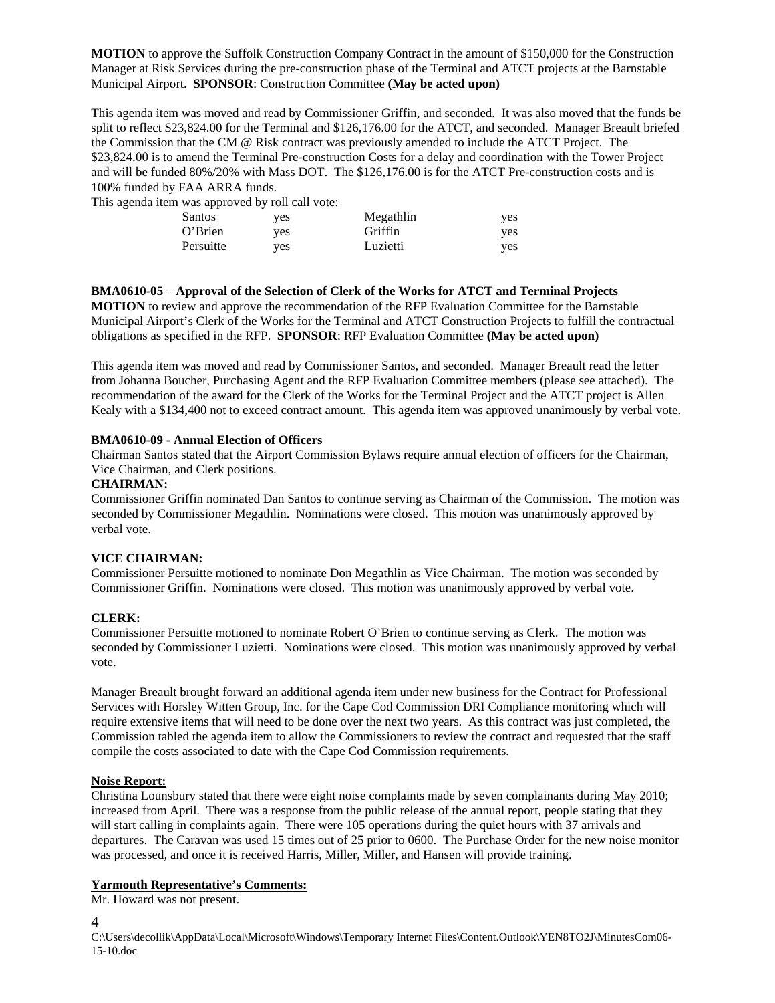**MOTION** to approve the Suffolk Construction Company Contract in the amount of \$150,000 for the Construction Manager at Risk Services during the pre-construction phase of the Terminal and ATCT projects at the Barnstable Municipal Airport. **SPONSOR**: Construction Committee **(May be acted upon)**

This agenda item was moved and read by Commissioner Griffin, and seconded. It was also moved that the funds be split to reflect \$23,824.00 for the Terminal and \$126,176.00 for the ATCT, and seconded. Manager Breault briefed the Commission that the CM @ Risk contract was previously amended to include the ATCT Project. The \$23,824.00 is to amend the Terminal Pre-construction Costs for a delay and coordination with the Tower Project and will be funded 80%/20% with Mass DOT. The \$126,176.00 is for the ATCT Pre-construction costs and is 100% funded by FAA ARRA funds.

This agenda item was approved by roll call vote:

| Santos    | ves | Megathlin | <b>ves</b> |
|-----------|-----|-----------|------------|
| O'Brien   | ves | Griffin   | <b>ves</b> |
| Persuitte | ves | Luzietti  | <b>ves</b> |

**BMA0610-05** – **Approval of the Selection of Clerk of the Works for ATCT and Terminal Projects MOTION** to review and approve the recommendation of the RFP Evaluation Committee for the Barnstable Municipal Airport's Clerk of the Works for the Terminal and ATCT Construction Projects to fulfill the contractual obligations as specified in the RFP. **SPONSOR**: RFP Evaluation Committee **(May be acted upon)** 

This agenda item was moved and read by Commissioner Santos, and seconded. Manager Breault read the letter from Johanna Boucher, Purchasing Agent and the RFP Evaluation Committee members (please see attached). The recommendation of the award for the Clerk of the Works for the Terminal Project and the ATCT project is Allen Kealy with a \$134,400 not to exceed contract amount. This agenda item was approved unanimously by verbal vote.

#### **BMA0610-09 - Annual Election of Officers**

Chairman Santos stated that the Airport Commission Bylaws require annual election of officers for the Chairman, Vice Chairman, and Clerk positions.

#### **CHAIRMAN:**

Commissioner Griffin nominated Dan Santos to continue serving as Chairman of the Commission. The motion was seconded by Commissioner Megathlin. Nominations were closed. This motion was unanimously approved by verbal vote.

#### **VICE CHAIRMAN:**

Commissioner Persuitte motioned to nominate Don Megathlin as Vice Chairman. The motion was seconded by Commissioner Griffin. Nominations were closed. This motion was unanimously approved by verbal vote.

#### **CLERK:**

Commissioner Persuitte motioned to nominate Robert O'Brien to continue serving as Clerk. The motion was seconded by Commissioner Luzietti. Nominations were closed. This motion was unanimously approved by verbal vote.

Manager Breault brought forward an additional agenda item under new business for the Contract for Professional Services with Horsley Witten Group, Inc. for the Cape Cod Commission DRI Compliance monitoring which will require extensive items that will need to be done over the next two years. As this contract was just completed, the Commission tabled the agenda item to allow the Commissioners to review the contract and requested that the staff compile the costs associated to date with the Cape Cod Commission requirements.

#### **Noise Report:**

Christina Lounsbury stated that there were eight noise complaints made by seven complainants during May 2010; increased from April. There was a response from the public release of the annual report, people stating that they will start calling in complaints again. There were 105 operations during the quiet hours with 37 arrivals and departures. The Caravan was used 15 times out of 25 prior to 0600. The Purchase Order for the new noise monitor was processed, and once it is received Harris, Miller, Miller, and Hansen will provide training.

#### **Yarmouth Representative's Comments:**

Mr. Howard was not present.

4

C:\Users\decollik\AppData\Local\Microsoft\Windows\Temporary Internet Files\Content.Outlook\YEN8TO2J\MinutesCom06- 15-10.doc